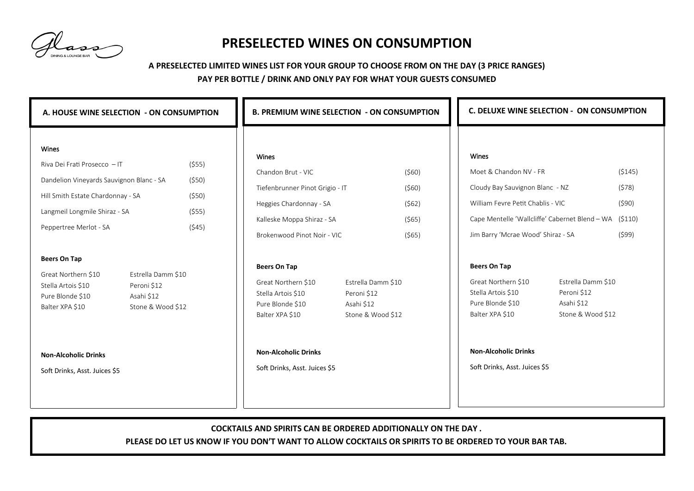## **PRESELECTED WINES ON CONSUMPTION**

## **A PRESELECTED LIMITED WINES LIST FOR YOUR GROUP TO CHOOSE FROM ON THE DAY (3 PRICE RANGES)**

## **PAY PER BOTTLE / DRINK AND ONLY PAY FOR WHAT YOUR GUESTS CONSUMED**

| A. HOUSE WINE SELECTION - ON CONSUMPTION                                                                                                                                                 |                                               | <b>B. PREMIUM WINE SELECTION - ON CONSUMPTION</b>                                                                                                                               |                                           | <b>C. DELUXE WINE SELECTION - ON CONSUMPTION</b>                                                                                                                                                       |                                             |
|------------------------------------------------------------------------------------------------------------------------------------------------------------------------------------------|-----------------------------------------------|---------------------------------------------------------------------------------------------------------------------------------------------------------------------------------|-------------------------------------------|--------------------------------------------------------------------------------------------------------------------------------------------------------------------------------------------------------|---------------------------------------------|
| <b>Wines</b><br>Riva Dei Frati Prosecco - IT<br>Dandelion Vineyards Sauvignon Blanc - SA<br>Hill Smith Estate Chardonnay - SA<br>Langmeil Longmile Shiraz - SA<br>Peppertree Merlot - SA | (555)<br>$($ \$50)<br>(550)<br>(555)<br>(545) | Wines<br>Chandon Brut - VIC<br>Tiefenbrunner Pinot Grigio - IT<br>Heggies Chardonnay - SA<br>Kalleske Moppa Shiraz - SA<br>Brokenwood Pinot Noir - VIC                          | (560)<br>(560)<br>(562)<br>(565)<br>(565) | <b>Wines</b><br>Moet & Chandon NV - FR<br>Cloudy Bay Sauvignon Blanc - NZ<br>William Fevre Petit Chablis - VIC<br>Cape Mentelle 'Wallcliffe' Cabernet Blend - WA<br>Jim Barry 'Mcrae Wood' Shiraz - SA | (5145)<br>(578)<br>(590)<br>(5110)<br>(599) |
| <b>Beers On Tap</b><br>Great Northern \$10<br>Estrella Damm \$10<br>Stella Artois \$10<br>Peroni \$12<br>Pure Blonde \$10<br>Asahi \$12<br>Balter XPA \$10<br>Stone & Wood \$12          |                                               | <b>Beers On Tap</b><br>Estrella Damm \$10<br>Great Northern \$10<br>Stella Artois \$10<br>Peroni \$12<br>Pure Blonde \$10<br>Asahi \$12<br>Stone & Wood \$12<br>Balter XPA \$10 |                                           | <b>Beers On Tap</b><br>Great Northern \$10<br>Stella Artois \$10<br>Peroni \$12<br>Pure Blonde \$10<br>Asahi \$12<br>Balter XPA \$10                                                                   | Estrella Damm \$10<br>Stone & Wood \$12     |
| <b>Non-Alcoholic Drinks</b><br>Soft Drinks, Asst. Juices \$5                                                                                                                             |                                               | <b>Non-Alcoholic Drinks</b><br>Soft Drinks, Asst. Juices \$5                                                                                                                    |                                           | <b>Non-Alcoholic Drinks</b><br>Soft Drinks, Asst. Juices \$5                                                                                                                                           |                                             |

**COCKTAILS AND SPIRITS CAN BE ORDERED ADDITIONALLY ON THE DAY .** 

**PLEASE DO LET US KNOW IF YOU DON'T WANT TO ALLOW COCKTAILS OR SPIRITS TO BE ORDERED TO YOUR BAR TAB.**